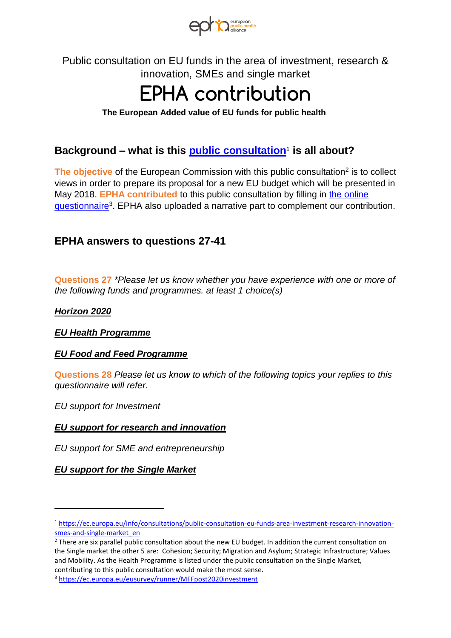

Public consultation on EU funds in the area of investment, research & innovation, SMEs and single market

# **EPHA contribution**

#### **The European Added value of EU funds for public health**

## **Background – what is this [public consultation](https://ec.europa.eu/info/consultations/public-consultation-eu-funds-area-investment-research-innovation-smes-and-single-market_en)**<sup>1</sup>  **is all about?**

The objective of the European Commission with this public consultation<sup>2</sup> is to collect views in order to prepare its proposal for a new EU budget which will be presented in May 2018. **EPHA contributed** to this public consultation by filling in [the online](https://ec.europa.eu/eusurvey/runner/MFFpost2020investment)  [questionnaire](https://ec.europa.eu/eusurvey/runner/MFFpost2020investment)<sup>3</sup>. EPHA also uploaded a narrative part to complement our contribution.

### **EPHA answers to questions 27-41**

**Questions 27** \*Please let us know whether you have experience with one or more of the following funds and programmes. at least 1 choice(s)

#### **Horizon 2020**

l

**EU Health Programme** 

#### **EU Food and Feed Programme**

**Questions 28** Please let us know to which of the following topics your replies to this questionnaire will refer.

EU support for Investment

#### **EU support for research and innovation**

EU support for SME and entrepreneurship

#### **EU support for the Single Market**

<sup>1</sup> [https://ec.europa.eu/info/consultations/public-consultation-eu-funds-area-investment-research-innovation](https://ec.europa.eu/info/consultations/public-consultation-eu-funds-area-investment-research-innovation-smes-and-single-market_en)smes-and-single-market\_en

<sup>&</sup>lt;sup>2</sup> There are six parallel public consultation about the new EU budget. In addition the current consultation on the Single market the other 5 are: Cohesion; Security; Migration and Asylum; Strategic Infrastructure; Values and Mobility. As the Health Programme is listed under the public consultation on the Single Market, contributing to this public consultation would make the most sense.

<sup>3</sup> <https://ec.europa.eu/eusurvey/runner/MFFpost2020investment>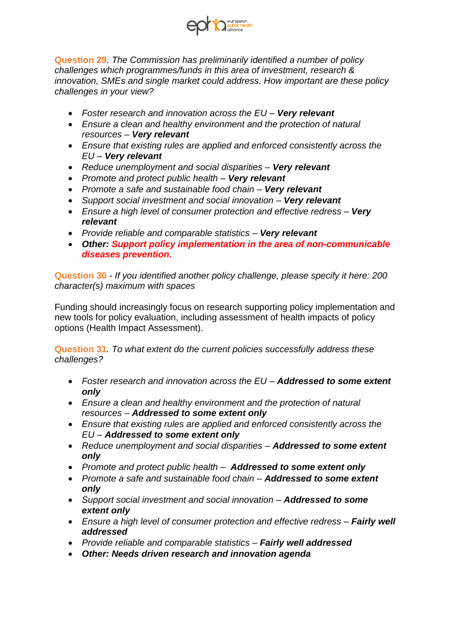

**Question 29**. The Commission has preliminarily identified a number of policy challenges which programmes/funds in this area of investment, research & innovation, SMEs and single market could address. How important are these policy challenges in your view?

- Foster research and innovation across the EU *–* **Very relevant**
- Ensure a clean and healthy environment and the protection of natural resources *–* **Very relevant**
- Ensure that existing rules are applied and enforced consistently across the EU *–* **Very relevant**
- Reduce unemployment and social disparities *–* **Very relevant**
- Promote and protect public health *–* **Very relevant**
- Promote a safe and sustainable food chain *–* **Very relevant**
- Support social investment and social innovation *–* **Very relevant**
- Ensure a high level of consumer protection and effective redress *–* **Very relevant**
- Provide reliable and comparable statistics *–* **Very relevant**
- **Other: Support policy implementation in the area of non-communicable diseases prevention.**

**Question 30** - If you identified another policy challenge, please specify it here: 200 character(s) maximum with spaces

Funding should increasingly focus on research supporting policy implementation and new tools for policy evaluation, including assessment of health impacts of policy options (Health Impact Assessment).

**Question 31**. To what extent do the current policies successfully address these challenges?

- Foster research and innovation across the EU *–* **Addressed to some extent only**
- Ensure a clean and healthy environment and the protection of natural resources *–* **Addressed to some extent only**
- Ensure that existing rules are applied and enforced consistently across the EU *–* **Addressed to some extent only**
- Reduce unemployment and social disparities *–* **Addressed to some extent only**
- Promote and protect public health *–* **Addressed to some extent only**
- Promote a safe and sustainable food chain *–* **Addressed to some extent only**
- Support social investment and social innovation *–* **Addressed to some extent only**
- Ensure a high level of consumer protection and effective redress *–* **Fairly well addressed**
- Provide reliable and comparable statistics *–* **Fairly well addressed**
- **Other: Needs driven research and innovation agenda**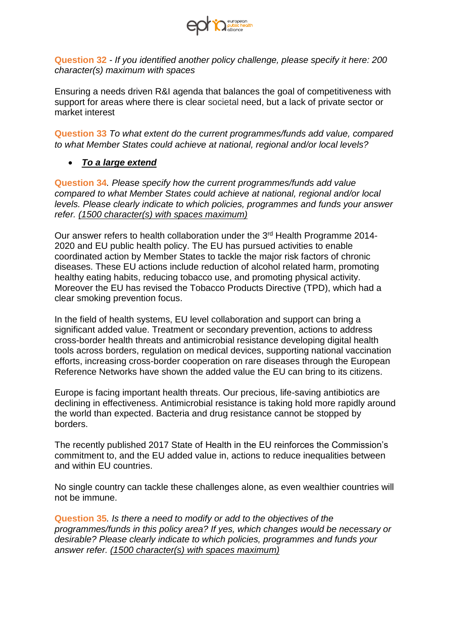

**Question 32** - If you identified another policy challenge, please specify it here: 200 character(s) maximum with spaces

Ensuring a needs driven R&I agenda that balances the goal of competitiveness with support for areas where there is clear societal need, but a lack of private sector or market interest

**Question 33** To what extent do the current programmes/funds add value, compared to what Member States could achieve at national, regional and/or local levels?

• **To a large extend** 

**Question 34**. Please specify how the current programmes/funds add value compared to what Member States could achieve at national, regional and/or local levels. Please clearly indicate to which policies, programmes and funds your answer refer. (1500 character(s) with spaces maximum)

Our answer refers to health collaboration under the 3rd Health Programme 2014- 2020 and EU public health policy. The EU has pursued activities to enable coordinated action by Member States to tackle the major risk factors of chronic diseases. These EU actions include reduction of alcohol related harm, promoting healthy eating habits, reducing tobacco use, and promoting physical activity. Moreover the EU has revised the Tobacco Products Directive (TPD), which had a clear smoking prevention focus.

In the field of health systems, EU level collaboration and support can bring a significant added value. Treatment or secondary prevention, actions to address cross-border health threats and antimicrobial resistance developing digital health tools across borders, regulation on medical devices, supporting national vaccination efforts, increasing cross-border cooperation on rare diseases through the European Reference Networks have shown the added value the EU can bring to its citizens.

Europe is facing important health threats. Our precious, life-saving antibiotics are declining in effectiveness. Antimicrobial resistance is taking hold more rapidly around the world than expected. Bacteria and drug resistance cannot be stopped by borders.

The recently published 2017 State of Health in the EU reinforces the Commission's commitment to, and the EU added value in, actions to reduce inequalities between and within EU countries.

No single country can tackle these challenges alone, as even wealthier countries will not be immune.

**Question 35**. Is there a need to modify or add to the objectives of the programmes/funds in this policy area? If yes, which changes would be necessary or desirable? Please clearly indicate to which policies, programmes and funds your answer refer. (1500 character(s) with spaces maximum)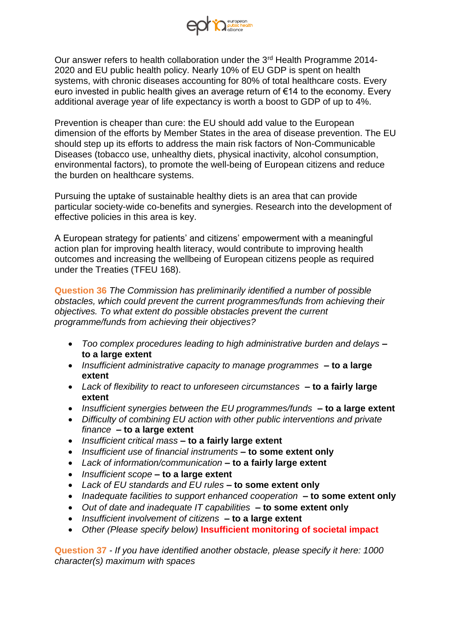

Our answer refers to health collaboration under the 3rd Health Programme 2014- 2020 and EU public health policy. Nearly 10% of EU GDP is spent on health systems, with chronic diseases accounting for 80% of total healthcare costs. Every euro invested in public health gives an average return of €14 to the economy. Every additional average year of life expectancy is worth a boost to GDP of up to 4%.

Prevention is cheaper than cure: the EU should add value to the European dimension of the efforts by Member States in the area of disease prevention. The EU should step up its efforts to address the main risk factors of Non-Communicable Diseases (tobacco use, unhealthy diets, physical inactivity, alcohol consumption, environmental factors), to promote the well-being of European citizens and reduce the burden on healthcare systems.

Pursuing the uptake of sustainable healthy diets is an area that can provide particular society-wide co-benefits and synergies. Research into the development of effective policies in this area is key.

A European strategy for patients' and citizens' empowerment with a meaningful action plan for improving health literacy, would contribute to improving health outcomes and increasing the wellbeing of European citizens people as required under the Treaties (TFEU 168).

**Question 36** The Commission has preliminarily identified a number of possible obstacles, which could prevent the current programmes/funds from achieving their objectives. To what extent do possible obstacles prevent the current programme/funds from achieving their objectives?

- Too complex procedures leading to high administrative burden and delays **– to a large extent**
- Insufficient administrative capacity to manage programmes **– to a large extent**
- Lack of flexibility to react to unforeseen circumstances **– to a fairly large extent**
- Insufficient synergies between the EU programmes/funds **– to a large extent**
- Difficulty of combining EU action with other public interventions and private finance **– to a large extent**
- Insufficient critical mass **– to a fairly large extent**
- Insufficient use of financial instruments **– to some extent only**
- Lack of information/communication **– to a fairly large extent**
- Insufficient scope **– to a large extent**
- Lack of EU standards and EU rules **– to some extent only**
- Inadequate facilities to support enhanced cooperation **– to some extent only**
- Out of date and inadequate IT capabilities **– to some extent only**
- Insufficient involvement of citizens **– to a large extent**
- Other (Please specify below) **Insufficient monitoring of societal impact**

**Question 37** - If you have identified another obstacle, please specify it here: 1000 character(s) maximum with spaces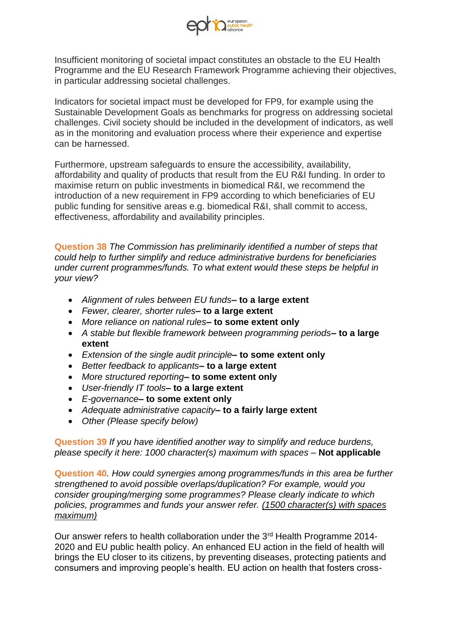

Insufficient monitoring of societal impact constitutes an obstacle to the EU Health Programme and the EU Research Framework Programme achieving their objectives, in particular addressing societal challenges.

Indicators for societal impact must be developed for FP9, for example using the Sustainable Development Goals as benchmarks for progress on addressing societal challenges. Civil society should be included in the development of indicators, as well as in the monitoring and evaluation process where their experience and expertise can be harnessed.

Furthermore, upstream safeguards to ensure the accessibility, availability, affordability and quality of products that result from the EU R&I funding. In order to maximise return on public investments in biomedical R&I, we recommend the introduction of a new requirement in FP9 according to which beneficiaries of EU public funding for sensitive areas e.g. biomedical R&I, shall commit to access, effectiveness, affordability and availability principles.

**Question 38** The Commission has preliminarily identified a number of steps that could help to further simplify and reduce administrative burdens for beneficiaries under current programmes/funds. To what extent would these steps be helpful in your view?

- Alignment of rules between EU funds**– to a large extent**
- Fewer, clearer, shorter rules**– to a large extent**
- More reliance on national rules**– to some extent only**
- A stable but flexible framework between programming periods**– to a large extent**
- Extension of the single audit principle**– to some extent only**
- Better feedback to applicants**– to a large extent**
- More structured reporting**– to some extent only**
- User-friendly IT tools**– to a large extent**
- E-governance**– to some extent only**
- Adequate administrative capacity**– to a fairly large extent**
- Other (Please specify below)

**Question 39** If you have identified another way to simplify and reduce burdens, please specify it here: 1000 character(s) maximum with spaces *–* **Not applicable**

**Question 40**. How could synergies among programmes/funds in this area be further strengthened to avoid possible overlaps/duplication? For example, would you consider grouping/merging some programmes? Please clearly indicate to which policies, programmes and funds your answer refer. (1500 character(s) with spaces maximum)

Our answer refers to health collaboration under the 3<sup>rd</sup> Health Programme 2014-2020 and EU public health policy. An enhanced EU action in the field of health will brings the EU closer to its citizens, by preventing diseases, protecting patients and consumers and improving people's health. EU action on health that fosters cross-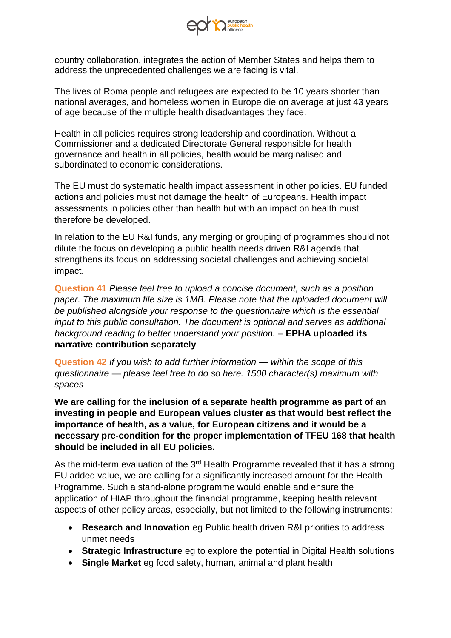

country collaboration, integrates the action of Member States and helps them to address the unprecedented challenges we are facing is vital.

The lives of Roma people and refugees are expected to be 10 years shorter than national averages, and homeless women in Europe die on average at just 43 years of age because of the multiple health disadvantages they face.

Health in all policies requires strong leadership and coordination. Without a Commissioner and a dedicated Directorate General responsible for health governance and health in all policies, health would be marginalised and subordinated to economic considerations.

The EU must do systematic health impact assessment in other policies. EU funded actions and policies must not damage the health of Europeans. Health impact assessments in policies other than health but with an impact on health must therefore be developed.

In relation to the EU R&I funds, any merging or grouping of programmes should not dilute the focus on developing a public health needs driven R&I agenda that strengthens its focus on addressing societal challenges and achieving societal impact.

**Question 41** Please feel free to upload a concise document, such as a position paper. The maximum file size is 1MB. Please note that the uploaded document will be published alongside your response to the questionnaire which is the essential input to this public consultation. The document is optional and serves as additional background reading to better understand your position. *–* **EPHA uploaded its narrative contribution separately**

**Question 42** If you wish to add further information *—* within the scope of this questionnaire *—* please feel free to do so here. 1500 character(s) maximum with spaces

**We are calling for the inclusion of a separate health programme as part of an investing in people and European values cluster as that would best reflect the importance of health, as a value, for European citizens and it would be a necessary pre-condition for the proper implementation of TFEU 168 that health should be included in all EU policies.** 

As the mid-term evaluation of the  $3<sup>rd</sup>$  Health Programme revealed that it has a strong EU added value, we are calling for a significantly increased amount for the Health Programme. Such a stand-alone programme would enable and ensure the application of HIAP throughout the financial programme, keeping health relevant aspects of other policy areas, especially, but not limited to the following instruments:

- **Research and Innovation** eg Public health driven R&I priorities to address unmet needs
- **Strategic Infrastructure** eg to explore the potential in Digital Health solutions
- **Single Market** eg food safety, human, animal and plant health